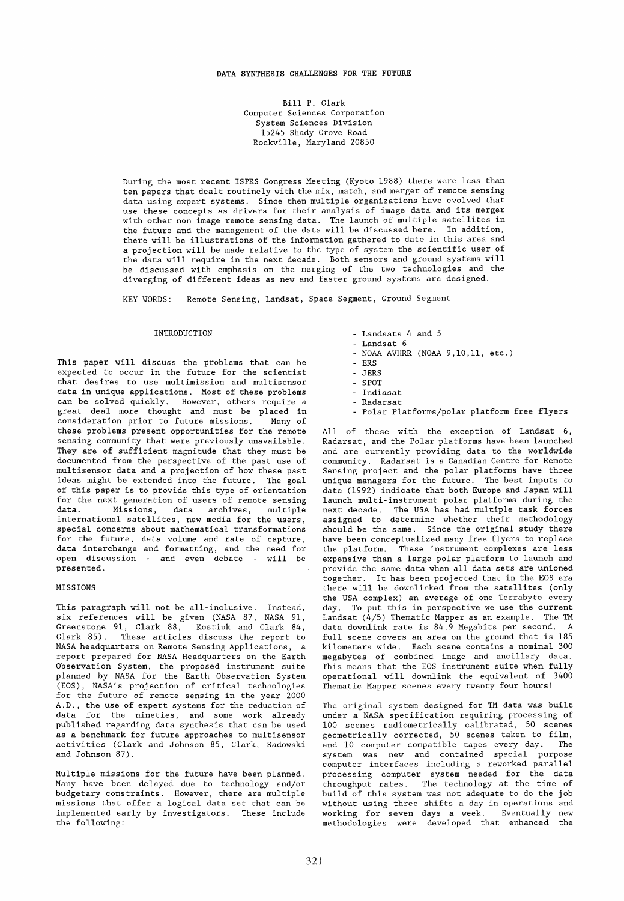# DATA **SYNTHESIS** CHALLENGES **FOR THE FUTURE**

Bill P. Clark Computer Sciences Corporation System Sciences Division 15245 Shady Grove Road Rockville, Maryland 20850

During the most recent ISPRS Congress Meeting (Kyoto 1988) there were less than ten papers that dealt routinely with the mix, match, and merger of remote sensing data using expert systems. Since then multiple organizations have evolved that use these concepts as drivers for their analysis of image data and its merger with other non image remote sensing data. The launch of multiple satellites in the future and the management of the data will be discussed here. In addition, there will be illustrations of the information gathered to date in this area and a projection will be made relative to the type of system the scientific user of the data will require in the next decade. Both sensors and ground systems will be discussed with emphasis on the merging of the two technologies and the diverging of different ideas as new and faster ground systems are designed.

KEY WORDS: Remote Sensing, Landsat, Space Segment, Ground Segment

#### INTRODUCTION

This paper will discuss the problems that can be expected to occur in the future for the scientist that desires to use multimission and multisensor data in unique applications. Most of these problems can be solved quickly. However, others require a great deal more thought and must be placed in<br>consideration prior to future missions. Many of consideration prior to future missions. these problems present opportunities for the remote sensing community that were previously unavailable. They are of sufficient magnitude that they must be documented from the perspective of the past use of multisensor data and a projection of how these past ideas might be extended into the future. The goal of this paper is to provide this type of orientation for the next generation of users of remote sensing<br>data. Missions, data archives, multiple data archives, multiple international satellites, new media for the users, special concerns about mathematical transformations for the future, data volume and rate of capture, data interchange and formatting, and the need for open discussion - and even debate - will be presented.

# MISSIONS

This paragraph will not be all-inclusive. Instead, six references will be given (NASA 87, NASA 91, Greenstone 91, Clark 88, Kostiuk and Clark 84, Clark 85). These articles discuss the report to NASA headquarters on Remote Sensing Applications, a report prepared for NASA Headquarters on the Earth Observation System, the proposed instrument suite planned by NASA for the Earth Observation System (EOS) , NASA' s projection of critical technologies for the future of remote sensing in the year 2000 A.D., the use of expert systems for the reduction of data for the nineties, and some work already published regarding data synthesis that can be used as a benchmark for future approaches to multisensor activities (Clark and Johnson 85, Clark, Sadowski and Johnson 87).

Multiple missions for the future have been planned. Many have been delayed due to technology and/or budgetary constraints. However, there are multiple missions that offer a logical data set that can be implemented early by investigators. These include the following:

- Landsats 4 and 5
- Landsat 6
- NOAA AVHRR (NOAA 9,10,11, etc.)
- ERS
- JERS
- SPOT
- Indiasat
- Radarsat
- Polar Platforms/polar platform free flyers

All of these with the exception of Landsat 6, Radarsat, and the Polar platforms have been launched and are currently providing data to the worldwide community. Radarsat is a Canadian Centre for Remote Sensing project and the polar platforms have three unique managers for the future. The best inputs to date (1992) indicate that both Europe and Japan will launch multi-instrument polar platforms during the next decade. The USA has had multiple task forces assigned to determine whether their methodology should be the same. Since the original study there have been conceptualized many free flyers to replace the platform. These instrument complexes are less expensive than a large polar platform to launch and provide the same data when all data sets are unioned together. It has been projected that in the EOS era there will be downlinked from the satellites (only the USA complex) an average of one Terrabyte every day. To put this in perspective we use the current Landsat (4/5) Thematic Mapper as an example. The TM data downlink rate is 84.9 Megabits per second. A full scene covers an area on the ground that is 185 kilometers wide. Each scene contains a nominal 300 megabytes of combined image and ancillary data. This means that the EOS instrument suite when fully operational will downlink the equivalent of 3400 Thematic Mapper scenes every twenty four hours!

The original system designed for TM data was built under a NASA specification requiring processing of 100 scenes radiometrically calibrated, 50 scenes geometrically corrected, 50 scenes taken to film, and 10 computer compatible tapes every day. The system was new and contained special purpose computer interfaces including a reworked parallel processing computer system needed for the data .<br>throughput rates. The technology at the time of build of this system was not adequate to do the job without using three shifts a day in operations and working for seven days a week. Eventually new methodologies were developed that enhanced the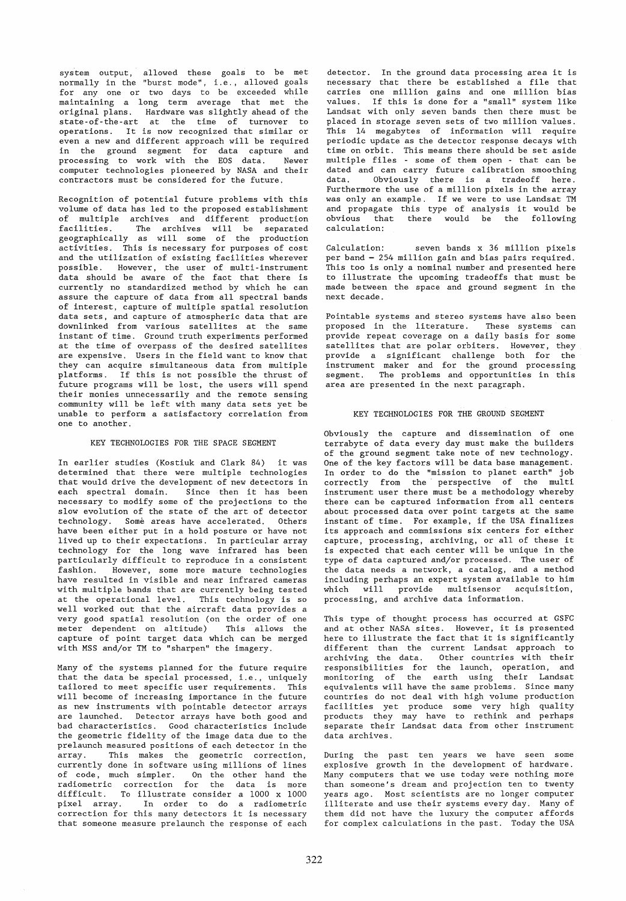system output, allowed these goals to be met normally in the "burst mode", i. e., allowed goals for any one or two days to be exceeded while maintaining a long term average that met the original plans. Hardware was slightly ahead of the state-of-the-art at the time of turnover to operations. It is now recognized that similar or even a new and different approach will be required in the ground segment for data capture and processing to work with the EOS data. Newer computer technologies pioneered by NASA and their contractors must be considered for the future.

Recognition of potential future problems with this volume of data has led to the proposed establishment of multiple archives and different production facilities. The archives will be separated geographically as will some of the production activities. This is necessary for purposes of cost and the utilization of existing facilities wherever possible. However, the user of multi-instrument data should be aware of the fact that there is currently no standardized method by which he can assure the capture of data from all spectral bands of interest, capture of multiple spatial resolution data sets, and capture of atmospheric data that are downlinked from various satellites at the same instant of time. Ground truth experiments performed at the time of overpass of the desired satellites are expensive. Users in the field want to know that they can acquire simultaneous data from multiple platforms. If this is not possible the thrust of future programs will be lost, the users will spend their monies unnecessarily and the remote sensing community will be left with many data sets yet be unable to perform a satisfactory correlation from one to another.

### KEY TECHNOLOGIES FOR THE SPACE SEGMENT

In earlier studies (Kostiuk and Clark 84) it was determined that there were multiple technologies that would drive the development of new detectors in each spectral domain. Since then it has been necessary to modify some of the projections to the slow evolution of the state of the art of detector technology. Some areas have accelerated. Others have been either put in a hold posture or have not lived up to their expectations. In particular array technology for the long wave infrared has been particularly difficult to reproduce in a consistent fashion. However, some more mature technologies have resulted in visible and near infrared cameras with multiple bands that are currently being tested at the operational level. This technology is so weIl worked out that the aircraft data provides a very good spatial resolution (on the order of one meter dependent on altitude) This allows the capture of point target data which can be merged with MSS and/or TM to "sharpen" the imagery.

Many of the systems planned for the future require that the data be special processed, i.e., uniquely tailored to meet specific user requirements. This tailored to meet specific user requirements. will become of increasing importance in the future as new instruments with pointable detector arrays are launched. Detector arrays have both good and bad characteristics. Good characteristics include the geometric fidelity of the image data due to the prelaunch measured positions of each detector in the array. This makes the geometric correction, currently done in software using millions of lines of code, much simpler. On the other hand the radiometric correction for the data is more difficult. To illustrate consider a 1000 x 1000 pixel array. In order to do a radiometric In order to do a radiometric correction for this many detectors it is necessary that someone measure prelaunch the response of each

detector. In the ground data processing area it is necessary that there be established a file that carries one million gains and one million bias values. If this is done for a "small" system like Landsat with only seven bands then there must be placed in storage seven sets of two million values. This 14 megabytes of information will require periodic update as the detector response decays with time on orbit. This means there should be set aside multiple files - some of them open - that can be dated and can carry future calibration smoothing<br>data. Obviously there is a tradeoff here. Obviously there is a tradeoff here. Furthermore the use of a million pixels in the array was only an example. If we were to use Landsat TM and propagate this type of analysis it would be obvious that there would be the following calculation:

Calculation: seven bands x 36 million pixels per band = 254 million gain and bias pairs required. This too is only a nominal number and presented here to illustrate the upcoming tradeoffs that must be made between the space and ground segment in the next decade.

Pointable systems and stereo systems have also been proposed in the literature. These systems can provide repeat coverage on a daily basis for some satellites that are polar orbiters. However, they provide a significant challenge both for the instrument maker and for the ground processing segment. The problems and opportunities in this area are presented in the next paragraph.

#### KEY TECHNOLOGIES FOR THE GROUND SEGMENT

Obviously the capture and dissemination of one terrabyte of data every day must make the builders of the ground segment take note of new technology. One of the key factors will be data base management. In order to do the "mission to planet earth" job correctly from the perspective of the multi instrument user there must be a methodology whereby there can be captured information from all centers about processed data over point targets at the same instant of time. For example, if the USA finalizes its approach and commissions six centers for either capture, processing, archiving, or all of these it is expected that each center will be unique in the type of data captured and/or processed. The user of the data needs a network, a catalog, and a method including perhaps an expert system available to him which will provide multisensor acquisition, processing, and archive data information.

This type of thought process has occurred at GSFC and at other NASA sites. However, it is presented here to illustrate the fact that it is significantly different than the current Landsat approach to archiving the data. Other countries with their responsibilities for the launch, operation, and monitoring of the earth using their Landsat equivalents will have the same problems. Since many countries do not deal with high volume production facilities yet produce some very high quality products they may have to rethink and perhaps separate their Landsat data from other instrument data archives.

During the past ten years we have seen some explosive growth in the development of hardware. Many computers that we use today were nothing more than someone's dream and projection ten to twenty years ago. Most scientists are no longer computer illiterate and use their systems every day. Many of them did not have the luxury the computer affords for complex calculations in the past. Today the USA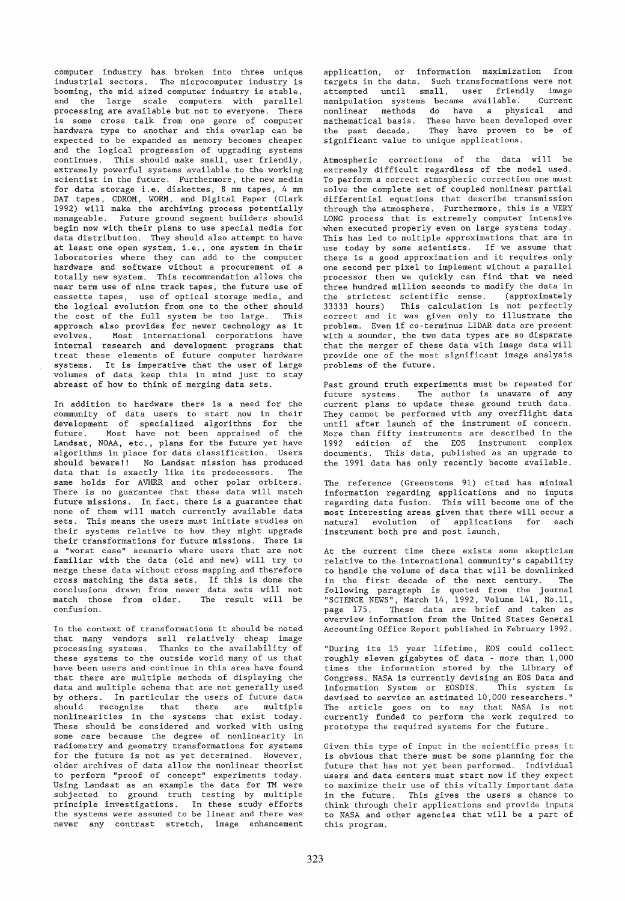computer industry has broken into three unique industrial sectors. The microcomputer industry is booming, the mid sized computer industry is stable, and the large scale computers with parallel processing are available but not to everyone. There is some cross talk from one genre of computer hardware type to another and this overlap can be expected to be expanded as memory becomes cheaper and the logical progression of upgrading systems continues. This should make small, user friendly, extremely powerful systems available to the working scientist in the future. Furthermore, the new media for data storage i.e. diskettes, 8 mm tapes, 4 mm DAT tapes, GDROM, WORM, and Digital Paper (Glark 1992) will make the archiving process potentially manageable. Future ground segment builders should begin now with their plans to use special media for data distribution. They should also attempt to have at least one open system, i.e., one system in their laboratories where they can add to the computer hardware and software without a procurement of a totally new system. This recommendation allows the near term use of nine track tapes, the future use of cassette tapes, use of optical storage media, and the logical evolution from one to the other should<br>the cost of the full system be too large. This the cost of the full system be too large. approach also provides for newer technology as it evolves. Most international corporations have internal research and development programs that treat these elements of future computer hardware systems. It is imperative that the user of large volumes of data keep this in mind just to stay abreast of how to think of merging data sets.

In addition to hardware there is a need for the community of data users to start now in their development of specialized algorithms for the future. Most have not been appraised of the Landsat, NOAA, etc., plans for the future yet have algorithms in place for data classification. Users should beware!! No Landsat mission has produced data that is exactly like its predecessors. The same holds for AVHRR and other polar orbiters. There is no guarantee that these data will match future missions. In fact, there is a guarantee that none of them will match currently available data sets. This means the users must initiate studies on their systems relative to how they might upgrade their transformations for future missions. There is a "worst case" scenario where users that are not familiar with the data (old and new) will try to merge these data without cross mapping and therefore cross matching the data sets. If this is done the conclusions drawn from newer data sets will not match those from older. The result will be confusion.

In the context of transformations it should be noted that many vendors sell relatively cheap image processing systems. Thanks to the availability of these systems to the outside world many of us that have been users and continue in this area have found that there are multiple methods of displaying the data and multiple schema that are not generally used by others. In particular the users of future data should recognize that there are multiple nonlinearities in the systems that exist today. These should be considered and worked with using some care because the degree of nonlinearity in radiometry and geometry transformations for systems for the future is not as yet determined. However, older archives of data allow the nonlinear theorist to perform "proof of concept" experiments today. Using Landsat as an example the data for TM were subjected to ground truth testing by multiple principle investigations. In these study efforts the systems were assumed to be linear and there was never any contrast stretch, image enhancement

application, or information maximization from targets in the data. Such transformations were not attempted until small, user friendly image manipulation systems became available. Current nonlinear methods do have a physical and mathematical basis. These have been developed over the past decade. They have proven to be of significant value to unique applications.

Atmospheric corrections of the data will be extremely difficult regardless of the model used. To perform a correct atmospheric correction one must solve the complete set of coupled nonlinear partial differential equations that describe transmission through the atmosphere. Furthermore, this is a VERY LONG process that is extremely computer intensive when executed properly even on large systems today. This has led to multiple approximations that are in use today by some scientists. If we assume that there is a good approximation and it requires only one second per pixel to implement without a parallel processor then we quickly can find that we need three hundred million seconds to modify the data in the strictest scientific sense. (approximately<br>33333 hours) This calculation is not perfectly This calculation is not perfectly correct and it was given only to illustrate the problem. Even if co-terminus LIDAR data are present .<br>with a sounder, the two data types are so disparate that the merger of these data with image data will provide one of the most significant image analysis problems of the future.

Past ground truth experiments must be repeated for future systems. The author is unaware of any current plans to update these ground truth data. They cannot be performed with any overflight data until after launch of the instrument of concern. More than fifty instruments are described in the 1992 edition of the EOS instrument complex documents. This data, published as an upgrade to the 1991 data has only recently become available.

The reference (Greenstone 91) cited has minimal information regarding applications and no inputs regarding data fusion. This will become one of the most interesting areas given that there will occur a natural evolution of applications for each instrument both pre and post launch.

At the current time there exists some skepticism relative to the international community's capability to handle the volume of data that will be downlinked in the first decade of the next century. The following paragraph is quoted from the journal "SGIENGE NEWS", March 14, 1992, Volume 141, No.ll, page 175. These data are brief and taken as overview information from the United States General Accounting Office Report published in February 1992.

"During its 15 year lifetime, EOS could collect roughly eleven gigabytes of data - more than 1,000 times the information stored by the Library of Congress. NASA is currently devising an EOS Data and Information System or EOSDIS. This system is Information System or EOSDIS. devised to service an estimated 10,000 researchers." The article goes on to say that NASA is not currently funded to perform the work required to prototype the required systems for the future.

Given this type of input in the scientific press it is obvious that there must be some planning for the future that has not yet been performed. Individual users and data centers must start now if they expect to maximize their use of this vitally important data in the future. This gives the users a chance to think through their applications and provide inputs to NASA and other agencies that will be a part of this program.